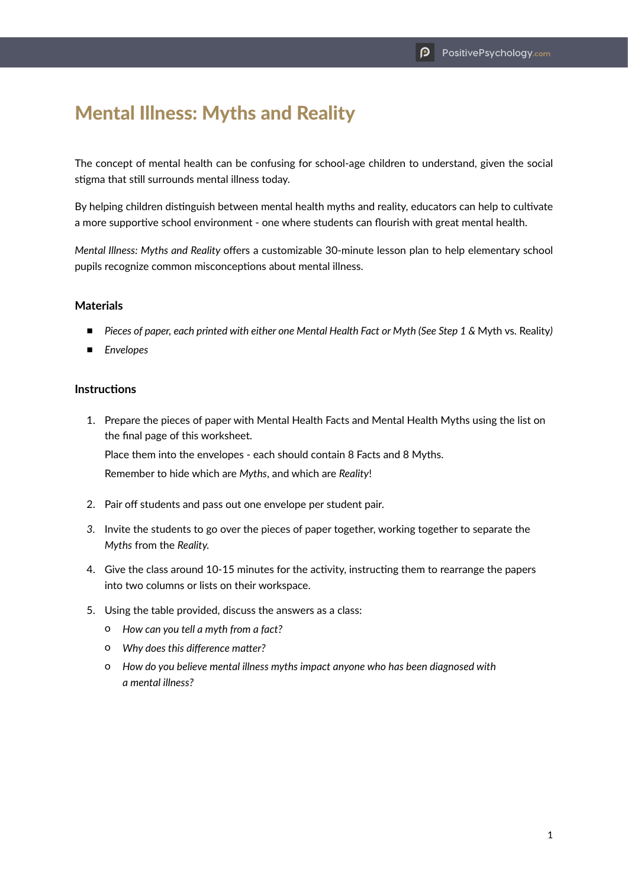## Mental Illness: Myths and Reality

The concept of mental health can be confusing for school-age children to understand, given the social stigma that still surrounds mental illness today.

By helping children distinguish between mental health myths and reality, educators can help to cultivate a more supportive school environment - one where students can flourish with great mental health.

*Mental Illness: Myths and Reality* offers a customizable 30-minute lesson plan to help elementary school pupils recognize common misconceptions about mental illness.

## **Materials**

- *Pieces of paper, each printed with either one Mental Health Fact or Myth (See Step 1 & Myth vs. Reality)*
- *Envelopes*

## **Instructions**

1. Prepare the pieces of paper with Mental Health Facts and Mental Health Myths using the list on the final page of this worksheet.

Place them into the envelopes - each should contain 8 Facts and 8 Myths.

Remember to hide which are *Myths*, and which are *Reality*!

- 2. Pair off students and pass out one envelope per student pair.
- *3.* Invite the students to go over the pieces of paper together, working together to separate the *Myths* from the *Reality.*
- 4. Give the class around 10-15 minutes for the activity, instructing them to rearrange the papers into two columns or lists on their workspace.
- 5. Using the table provided, discuss the answers as a class:
	- o *How can you tell a myth from a fact?*
	- o *Why does this difference matter?*
	- o *How do you believe mental illness myths impact anyone who has been diagnosed with a mental illness?*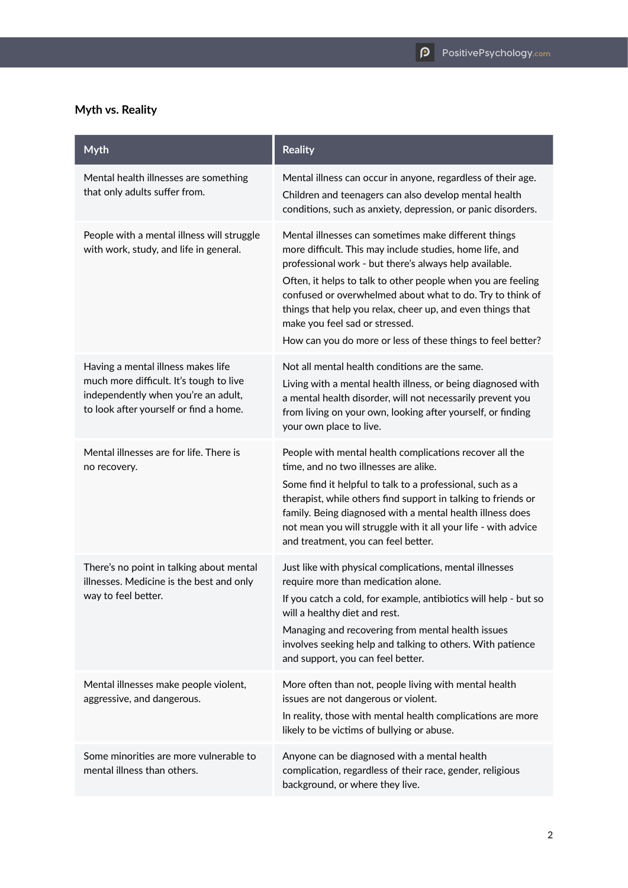## **Myth vs. Reality**

| <b>Myth</b>                                                                                                                                                    | <b>Reality</b>                                                                                                                                                                                                                                                                                                                                                                                                                                                         |
|----------------------------------------------------------------------------------------------------------------------------------------------------------------|------------------------------------------------------------------------------------------------------------------------------------------------------------------------------------------------------------------------------------------------------------------------------------------------------------------------------------------------------------------------------------------------------------------------------------------------------------------------|
| Mental health illnesses are something<br>that only adults suffer from.                                                                                         | Mental illness can occur in anyone, regardless of their age.<br>Children and teenagers can also develop mental health<br>conditions, such as anxiety, depression, or panic disorders.                                                                                                                                                                                                                                                                                  |
| People with a mental illness will struggle<br>with work, study, and life in general.                                                                           | Mental illnesses can sometimes make different things<br>more difficult. This may include studies, home life, and<br>professional work - but there's always help available.<br>Often, it helps to talk to other people when you are feeling<br>confused or overwhelmed about what to do. Try to think of<br>things that help you relax, cheer up, and even things that<br>make you feel sad or stressed.<br>How can you do more or less of these things to feel better? |
| Having a mental illness makes life<br>much more difficult. It's tough to live<br>independently when you're an adult,<br>to look after yourself or find a home. | Not all mental health conditions are the same.<br>Living with a mental health illness, or being diagnosed with<br>a mental health disorder, will not necessarily prevent you<br>from living on your own, looking after yourself, or finding<br>your own place to live.                                                                                                                                                                                                 |
| Mental illnesses are for life. There is<br>no recovery.                                                                                                        | People with mental health complications recover all the<br>time, and no two illnesses are alike.<br>Some find it helpful to talk to a professional, such as a<br>therapist, while others find support in talking to friends or<br>family. Being diagnosed with a mental health illness does<br>not mean you will struggle with it all your life - with advice<br>and treatment, you can feel better.                                                                   |
| There's no point in talking about mental<br>illnesses. Medicine is the best and only<br>way to feel better.                                                    | Just like with physical complications, mental illnesses<br>require more than medication alone.<br>If you catch a cold, for example, antibiotics will help - but so<br>will a healthy diet and rest.<br>Managing and recovering from mental health issues<br>involves seeking help and talking to others. With patience<br>and support, you can feel better.                                                                                                            |
| Mental illnesses make people violent,<br>aggressive, and dangerous.                                                                                            | More often than not, people living with mental health<br>issues are not dangerous or violent.<br>In reality, those with mental health complications are more<br>likely to be victims of bullying or abuse.                                                                                                                                                                                                                                                             |
| Some minorities are more vulnerable to<br>mental illness than others.                                                                                          | Anyone can be diagnosed with a mental health<br>complication, regardless of their race, gender, religious<br>background, or where they live.                                                                                                                                                                                                                                                                                                                           |